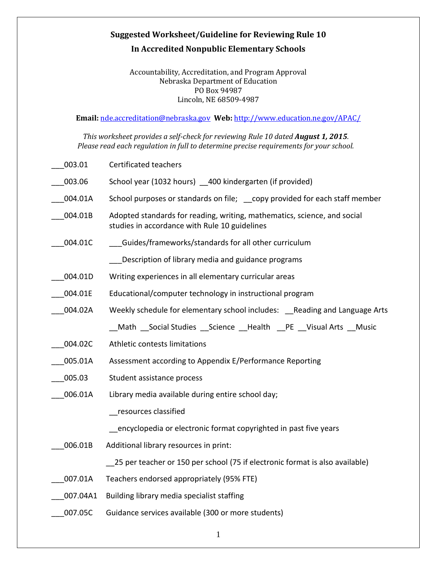## **Suggested Worksheet/Guideline for Reviewing Rule 10 In Accredited Nonpublic Elementary Schools**

## Accountability, Accreditation, and Program Approval Nebraska Department of Education PO Box 94987 Lincoln, NE 68509-4987

**Email:** [nde.accreditation@nebraska.gov](mailto:nde.accreditation@nebraska.gov) **Web:** <http://www.education.ne.gov/APAC/>

*This worksheet provides a self-check for reviewing Rule 10 dated August 1, 2015. Please read each regulation in full to determine precise requirements for your school.*

| 003.01   | <b>Certificated teachers</b>                                                                                              |
|----------|---------------------------------------------------------------------------------------------------------------------------|
| 003.06   | School year (1032 hours) 400 kindergarten (if provided)                                                                   |
| 004.01A  | School purposes or standards on file; copy provided for each staff member                                                 |
| 004.01B  | Adopted standards for reading, writing, mathematics, science, and social<br>studies in accordance with Rule 10 guidelines |
| 004.01C  | Guides/frameworks/standards for all other curriculum                                                                      |
|          | Description of library media and guidance programs                                                                        |
| 004.01D  | Writing experiences in all elementary curricular areas                                                                    |
| 004.01E  | Educational/computer technology in instructional program                                                                  |
| 004.02A  | Weekly schedule for elementary school includes: Reading and Language Arts                                                 |
|          | Math Social Studies Science Health PE Visual Arts Music                                                                   |
| 004.02C  | Athletic contests limitations                                                                                             |
| 005.01A  | Assessment according to Appendix E/Performance Reporting                                                                  |
| 005.03   | Student assistance process                                                                                                |
| 006.01A  | Library media available during entire school day;                                                                         |
|          | resources classified                                                                                                      |
|          | encyclopedia or electronic format copyrighted in past five years                                                          |
| 006.01B  | Additional library resources in print:                                                                                    |
|          | 25 per teacher or 150 per school (75 if electronic format is also available)                                              |
| 007.01A  | Teachers endorsed appropriately (95% FTE)                                                                                 |
| 007.04A1 | Building library media specialist staffing                                                                                |
| 007.05C  | Guidance services available (300 or more students)                                                                        |